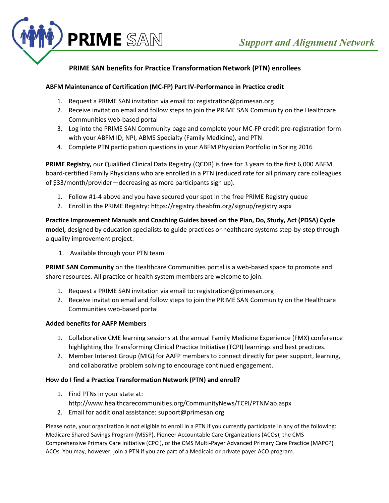

# **PRIME SAN benefits for Practice Transformation Network (PTN) enrollees**

### **ABFM Maintenance of Certification (MC-FP) Part IV-Performance in Practice credit**

- 1. Request a PRIME SAN invitation via email to: registration@primesan.org
- 2. Receive invitation email and follow steps to join the PRIME SAN Community on the Healthcare Communities web-based portal
- 3. Log into the PRIME SAN Community page and complete your MC-FP credit pre-registration form with your ABFM ID, NPI, ABMS Specialty (Family Medicine), and PTN
- 4. Complete PTN participation questions in your ABFM Physician Portfolio in Spring 2016

**PRIME Registry,** our Qualified Clinical Data Registry (QCDR) is free for 3 years to the first 6,000 ABFM board-certified Family Physicians who are enrolled in a PTN (reduced rate for all primary care colleagues of \$33/month/provider—decreasing as more participants sign up).

- 1. Follow #1-4 above and you have secured your spot in the free PRIME Registry queue
- 2. Enroll in the PRIME Registry: https://registry.theabfm.org/signup/registry.aspx

**Practice Improvement Manuals and Coaching Guides based on the Plan, Do, Study, Act (PDSA) Cycle model,** designed by education specialists to guide practices or healthcare systems step-by-step through a quality improvement project.

1. Available through your PTN team

**PRIME SAN Community** on the Healthcare Communities portal is a web-based space to promote and share resources. All practice or health system members are welcome to join.

- 1. Request a PRIME SAN invitation via email to: registration@primesan.org
- 2. Receive invitation email and follow steps to join the PRIME SAN Community on the Healthcare Communities web-based portal

#### **Added benefits for AAFP Members**

- 1. Collaborative CME learning sessions at the annual Family Medicine Experience (FMX) conference highlighting the Transforming Clinical Practice Initiative (TCPI) learnings and best practices.
- 2. Member Interest Group (MIG) for AAFP members to connect directly for peer support, learning, and collaborative problem solving to encourage continued engagement.

#### **How do I find a Practice Transformation Network (PTN) and enroll?**

- 1. Find PTNs in your state at: http://www.healthcarecommunities.org/CommunityNews/TCPI/PTNMap.aspx
- 2. Email for additional assistance: support@primesan.org

Please note, your organization is not eligible to enroll in a PTN if you currently participate in any of the following: Medicare Shared Savings Program (MSSP), Pioneer Accountable Care Organizations (ACOs), the CMS Comprehensive Primary Care Initiative (CPCI), or the CMS Multi-Payer Advanced Primary Care Practice (MAPCP) ACOs. You may, however, join a PTN if you are part of a Medicaid or private payer ACO program.